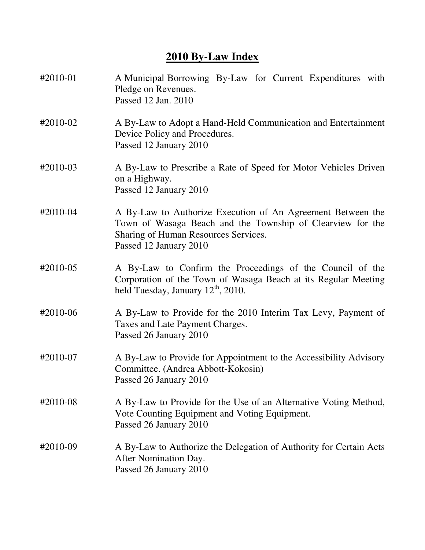## **2010 By-Law Index**

| #2010-01 | A Municipal Borrowing By-Law for Current Expenditures with<br>Pledge on Revenues.<br>Passed 12 Jan. 2010                                                                                    |
|----------|---------------------------------------------------------------------------------------------------------------------------------------------------------------------------------------------|
| #2010-02 | A By-Law to Adopt a Hand-Held Communication and Entertainment<br>Device Policy and Procedures.<br>Passed 12 January 2010                                                                    |
| #2010-03 | A By-Law to Prescribe a Rate of Speed for Motor Vehicles Driven<br>on a Highway.<br>Passed 12 January 2010                                                                                  |
| #2010-04 | A By-Law to Authorize Execution of An Agreement Between the<br>Town of Wasaga Beach and the Township of Clearview for the<br>Sharing of Human Resources Services.<br>Passed 12 January 2010 |
| #2010-05 | A By-Law to Confirm the Proceedings of the Council of the<br>Corporation of the Town of Wasaga Beach at its Regular Meeting<br>held Tuesday, January $12th$ , 2010.                         |
| #2010-06 | A By-Law to Provide for the 2010 Interim Tax Levy, Payment of<br>Taxes and Late Payment Charges.<br>Passed 26 January 2010                                                                  |
| #2010-07 | A By-Law to Provide for Appointment to the Accessibility Advisory<br>Committee. (Andrea Abbott-Kokosin)<br>Passed 26 January 2010                                                           |
| #2010-08 | A By-Law to Provide for the Use of an Alternative Voting Method,<br>Vote Counting Equipment and Voting Equipment.<br>Passed 26 January 2010                                                 |
| #2010-09 | A By-Law to Authorize the Delegation of Authority for Certain Acts<br>After Nomination Day.<br>Passed 26 January 2010                                                                       |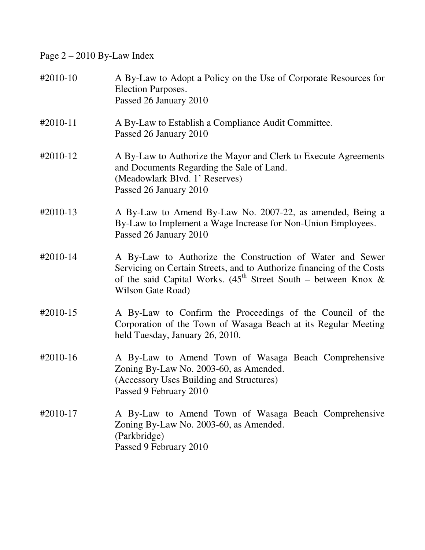Page 2 – 2010 By-Law Index

| #2010-10   | A By-Law to Adopt a Policy on the Use of Corporate Resources for<br>Election Purposes.<br>Passed 26 January 2010                                                                                                               |
|------------|--------------------------------------------------------------------------------------------------------------------------------------------------------------------------------------------------------------------------------|
| $#2010-11$ | A By-Law to Establish a Compliance Audit Committee.<br>Passed 26 January 2010                                                                                                                                                  |
| #2010-12   | A By-Law to Authorize the Mayor and Clerk to Execute Agreements<br>and Documents Regarding the Sale of Land.<br>(Meadowlark Blvd. 1' Reserves)<br>Passed 26 January 2010                                                       |
| #2010-13   | A By-Law to Amend By-Law No. 2007-22, as amended, Being a<br>By-Law to Implement a Wage Increase for Non-Union Employees.<br>Passed 26 January 2010                                                                            |
| #2010-14   | A By-Law to Authorize the Construction of Water and Sewer<br>Servicing on Certain Streets, and to Authorize financing of the Costs<br>of the said Capital Works. $(45^{th}$ Street South – between Knox &<br>Wilson Gate Road) |
| #2010-15   | A By-Law to Confirm the Proceedings of the Council of the<br>Corporation of the Town of Wasaga Beach at its Regular Meeting<br>held Tuesday, January 26, 2010.                                                                 |
| #2010-16   | A By-Law to Amend Town of Wasaga Beach Comprehensive<br>Zoning By-Law No. 2003-60, as Amended.<br>(Accessory Uses Building and Structures)<br>Passed 9 February 2010                                                           |
| #2010-17   | A By-Law to Amend Town of Wasaga Beach Comprehensive<br>Zoning By-Law No. 2003-60, as Amended.<br>(Parkbridge)<br>Passed 9 February 2010                                                                                       |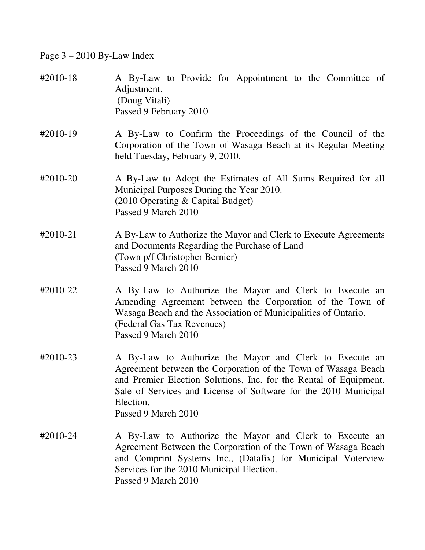Page 3 – 2010 By-Law Index

| #2010-18 | A By-Law to Provide for Appointment to the Committee of<br>Adjustment.<br>(Doug Vitali)<br>Passed 9 February 2010                                                                                                                                                                                    |
|----------|------------------------------------------------------------------------------------------------------------------------------------------------------------------------------------------------------------------------------------------------------------------------------------------------------|
| #2010-19 | A By-Law to Confirm the Proceedings of the Council of the<br>Corporation of the Town of Wasaga Beach at its Regular Meeting<br>held Tuesday, February 9, 2010.                                                                                                                                       |
| #2010-20 | A By-Law to Adopt the Estimates of All Sums Required for all<br>Municipal Purposes During the Year 2010.<br>(2010 Operating & Capital Budget)<br>Passed 9 March 2010                                                                                                                                 |
| #2010-21 | A By-Law to Authorize the Mayor and Clerk to Execute Agreements<br>and Documents Regarding the Purchase of Land<br>(Town p/f Christopher Bernier)<br>Passed 9 March 2010                                                                                                                             |
| #2010-22 | A By-Law to Authorize the Mayor and Clerk to Execute an<br>Amending Agreement between the Corporation of the Town of<br>Wasaga Beach and the Association of Municipalities of Ontario.<br>(Federal Gas Tax Revenues)<br>Passed 9 March 2010                                                          |
| #2010-23 | A By-Law to Authorize the Mayor and Clerk to Execute an<br>Agreement between the Corporation of the Town of Wasaga Beach<br>and Premier Election Solutions, Inc. for the Rental of Equipment,<br>Sale of Services and License of Software for the 2010 Municipal<br>Election.<br>Passed 9 March 2010 |
| #2010-24 | A By-Law to Authorize the Mayor and Clerk to Execute an<br>Agreement Between the Corporation of the Town of Wasaga Beach<br>and Comprint Systems Inc., (Datafix) for Municipal Voterview<br>Services for the 2010 Municipal Election.<br>Passed 9 March 2010                                         |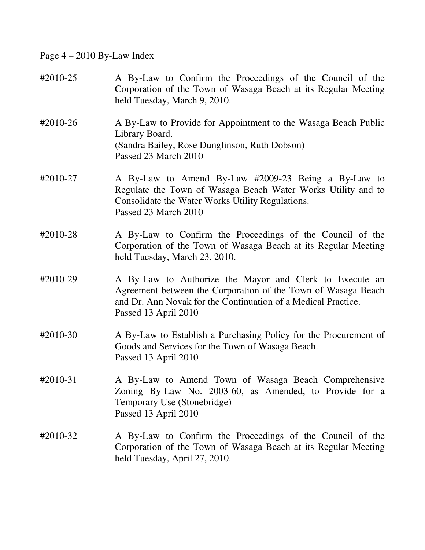Page 4 – 2010 By-Law Index

| #2010-25 | A By-Law to Confirm the Proceedings of the Council of the<br>Corporation of the Town of Wasaga Beach at its Regular Meeting<br>held Tuesday, March 9, 2010.                                                       |
|----------|-------------------------------------------------------------------------------------------------------------------------------------------------------------------------------------------------------------------|
| #2010-26 | A By-Law to Provide for Appointment to the Wasaga Beach Public<br>Library Board.<br>(Sandra Bailey, Rose Dunglinson, Ruth Dobson)<br>Passed 23 March 2010                                                         |
| #2010-27 | A By-Law to Amend By-Law #2009-23 Being a By-Law to<br>Regulate the Town of Wasaga Beach Water Works Utility and to<br>Consolidate the Water Works Utility Regulations.<br>Passed 23 March 2010                   |
| #2010-28 | A By-Law to Confirm the Proceedings of the Council of the<br>Corporation of the Town of Wasaga Beach at its Regular Meeting<br>held Tuesday, March 23, 2010.                                                      |
| #2010-29 | A By-Law to Authorize the Mayor and Clerk to Execute an<br>Agreement between the Corporation of the Town of Wasaga Beach<br>and Dr. Ann Novak for the Continuation of a Medical Practice.<br>Passed 13 April 2010 |
| #2010-30 | A By-Law to Establish a Purchasing Policy for the Procurement of<br>Goods and Services for the Town of Wasaga Beach.<br>Passed 13 April 2010                                                                      |
| #2010-31 | A By-Law to Amend Town of Wasaga Beach Comprehensive<br>Zoning By-Law No. 2003-60, as Amended, to Provide for a<br>Temporary Use (Stonebridge)<br>Passed 13 April 2010                                            |
| #2010-32 | A By-Law to Confirm the Proceedings of the Council of the<br>Corporation of the Town of Wasaga Beach at its Regular Meeting<br>held Tuesday, April 27, 2010.                                                      |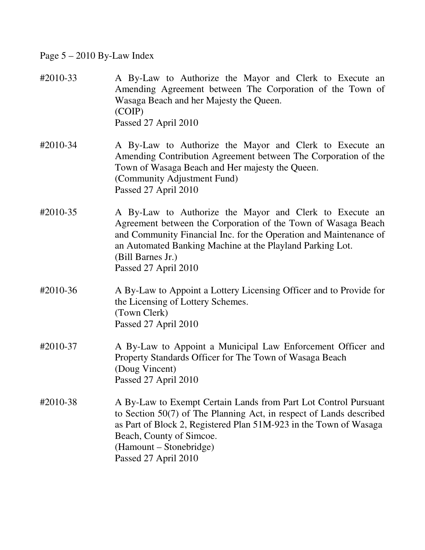## Page 5 – 2010 By-Law Index

| #2010-33 | A By-Law to Authorize the Mayor and Clerk to Execute an<br>Amending Agreement between The Corporation of the Town of<br>Wasaga Beach and her Majesty the Queen.<br>(COIP)<br>Passed 27 April 2010                                                                                                       |
|----------|---------------------------------------------------------------------------------------------------------------------------------------------------------------------------------------------------------------------------------------------------------------------------------------------------------|
| #2010-34 | A By-Law to Authorize the Mayor and Clerk to Execute an<br>Amending Contribution Agreement between The Corporation of the<br>Town of Wasaga Beach and Her majesty the Queen.<br>(Community Adjustment Fund)<br>Passed 27 April 2010                                                                     |
| #2010-35 | A By-Law to Authorize the Mayor and Clerk to Execute an<br>Agreement between the Corporation of the Town of Wasaga Beach<br>and Community Financial Inc. for the Operation and Maintenance of<br>an Automated Banking Machine at the Playland Parking Lot.<br>(Bill Barnes Jr.)<br>Passed 27 April 2010 |
| #2010-36 | A By-Law to Appoint a Lottery Licensing Officer and to Provide for<br>the Licensing of Lottery Schemes.<br>(Town Clerk)<br>Passed 27 April 2010                                                                                                                                                         |
| #2010-37 | A By-Law to Appoint a Municipal Law Enforcement Officer and<br>Property Standards Officer for The Town of Wasaga Beach<br>(Doug Vincent)<br>Passed 27 April 2010                                                                                                                                        |
| #2010-38 | A By-Law to Exempt Certain Lands from Part Lot Control Pursuant<br>to Section 50(7) of The Planning Act, in respect of Lands described<br>as Part of Block 2, Registered Plan 51M-923 in the Town of Wasaga<br>Beach, County of Simcoe.<br>(Hamount – Stonebridge)<br>Passed 27 April 2010              |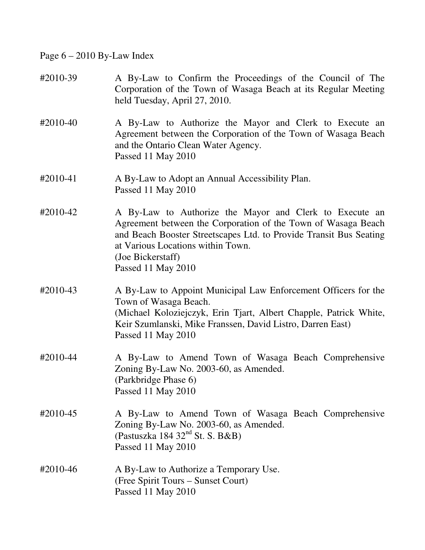Page  $6 - 2010$  By-Law Index

- #2010-39 A By-Law to Confirm the Proceedings of the Council of The Corporation of the Town of Wasaga Beach at its Regular Meeting held Tuesday, April 27, 2010.
- #2010-40 A By-Law to Authorize the Mayor and Clerk to Execute an Agreement between the Corporation of the Town of Wasaga Beach and the Ontario Clean Water Agency. Passed 11 May 2010
- #2010-41 A By-Law to Adopt an Annual Accessibility Plan. Passed 11 May 2010
- #2010-42 A By-Law to Authorize the Mayor and Clerk to Execute an Agreement between the Corporation of the Town of Wasaga Beach and Beach Booster Streetscapes Ltd. to Provide Transit Bus Seating at Various Locations within Town. (Joe Bickerstaff) Passed 11 May 2010
- #2010-43 A By-Law to Appoint Municipal Law Enforcement Officers for the Town of Wasaga Beach. (Michael Koloziejczyk, Erin Tjart, Albert Chapple, Patrick White, Keir Szumlanski, Mike Franssen, David Listro, Darren East) Passed 11 May 2010
- #2010-44 A By-Law to Amend Town of Wasaga Beach Comprehensive Zoning By-Law No. 2003-60, as Amended. (Parkbridge Phase 6) Passed 11 May 2010
- #2010-45 A By-Law to Amend Town of Wasaga Beach Comprehensive Zoning By-Law No. 2003-60, as Amended. (Pastuszka 184 32 $^{nd}$  St. S. B&B) Passed 11 May 2010
- #2010-46 A By-Law to Authorize a Temporary Use. (Free Spirit Tours – Sunset Court) Passed 11 May 2010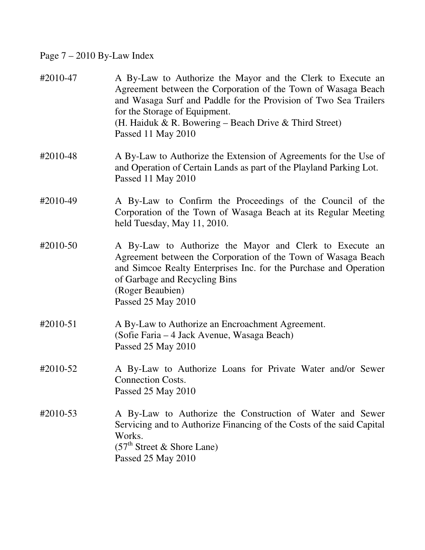## Page 7 – 2010 By-Law Index

| #2010-47 | A By-Law to Authorize the Mayor and the Clerk to Execute an<br>Agreement between the Corporation of the Town of Wasaga Beach<br>and Wasaga Surf and Paddle for the Provision of Two Sea Trailers<br>for the Storage of Equipment.<br>(H. Haiduk & R. Bowering – Beach Drive & Third Street)<br>Passed 11 May 2010 |
|----------|-------------------------------------------------------------------------------------------------------------------------------------------------------------------------------------------------------------------------------------------------------------------------------------------------------------------|
| #2010-48 | A By-Law to Authorize the Extension of Agreements for the Use of<br>and Operation of Certain Lands as part of the Playland Parking Lot.<br>Passed 11 May 2010                                                                                                                                                     |
| #2010-49 | A By-Law to Confirm the Proceedings of the Council of the<br>Corporation of the Town of Wasaga Beach at its Regular Meeting<br>held Tuesday, May 11, 2010.                                                                                                                                                        |
| #2010-50 | A By-Law to Authorize the Mayor and Clerk to Execute an<br>Agreement between the Corporation of the Town of Wasaga Beach<br>and Simcoe Realty Enterprises Inc. for the Purchase and Operation<br>of Garbage and Recycling Bins<br>(Roger Beaubien)<br>Passed 25 May 2010                                          |
| #2010-51 | A By-Law to Authorize an Encroachment Agreement.<br>(Sofie Faria – 4 Jack Avenue, Wasaga Beach)<br>Passed 25 May 2010                                                                                                                                                                                             |
| #2010-52 | A By-Law to Authorize Loans for Private Water and/or Sewer<br><b>Connection Costs.</b><br>Passed 25 May 2010                                                                                                                                                                                                      |
| #2010-53 | A By-Law to Authorize the Construction of Water and Sewer<br>Servicing and to Authorize Financing of the Costs of the said Capital<br>Works.<br>$(57th Street & Short Lane)$<br>Passed 25 May 2010                                                                                                                |
|          |                                                                                                                                                                                                                                                                                                                   |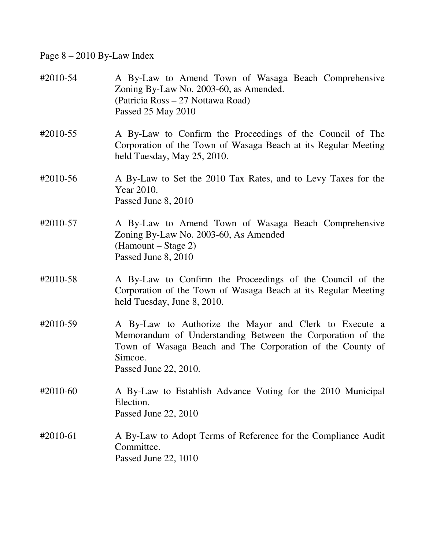## Page 8 – 2010 By-Law Index

| #2010-54 | A By-Law to Amend Town of Wasaga Beach Comprehensive<br>Zoning By-Law No. 2003-60, as Amended.<br>(Patricia Ross – 27 Nottawa Road)<br>Passed 25 May 2010                                                             |
|----------|-----------------------------------------------------------------------------------------------------------------------------------------------------------------------------------------------------------------------|
| #2010-55 | A By-Law to Confirm the Proceedings of the Council of The<br>Corporation of the Town of Wasaga Beach at its Regular Meeting<br>held Tuesday, May 25, 2010.                                                            |
| #2010-56 | A By-Law to Set the 2010 Tax Rates, and to Levy Taxes for the<br>Year 2010.<br>Passed June 8, 2010                                                                                                                    |
| #2010-57 | A By-Law to Amend Town of Wasaga Beach Comprehensive<br>Zoning By-Law No. 2003-60, As Amended<br>(Hamount – Stage 2)<br>Passed June 8, 2010                                                                           |
| #2010-58 | A By-Law to Confirm the Proceedings of the Council of the<br>Corporation of the Town of Wasaga Beach at its Regular Meeting<br>held Tuesday, June 8, 2010.                                                            |
| #2010-59 | A By-Law to Authorize the Mayor and Clerk to Execute a<br>Memorandum of Understanding Between the Corporation of the<br>Town of Wasaga Beach and The Corporation of the County of<br>Simcoe.<br>Passed June 22, 2010. |
| #2010-60 | A By-Law to Establish Advance Voting for the 2010 Municipal<br>Election.<br>Passed June 22, 2010                                                                                                                      |
| #2010-61 | A By-Law to Adopt Terms of Reference for the Compliance Audit<br>Committee.<br>Passed June 22, 1010                                                                                                                   |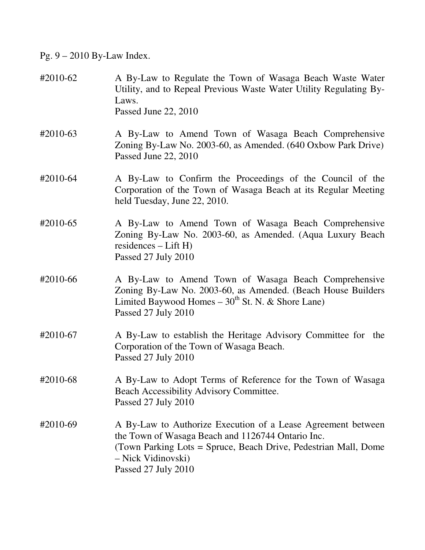Pg. 9 – 2010 By-Law Index.

#2010-62 A By-Law to Regulate the Town of Wasaga Beach Waste Water Utility, and to Repeal Previous Waste Water Utility Regulating By-Laws. Passed June 22, 2010 #2010-63 A By-Law to Amend Town of Wasaga Beach Comprehensive Zoning By-Law No. 2003-60, as Amended. (640 Oxbow Park Drive) Passed June 22, 2010 #2010-64 A By-Law to Confirm the Proceedings of the Council of the Corporation of the Town of Wasaga Beach at its Regular Meeting held Tuesday, June 22, 2010. #2010-65 A By-Law to Amend Town of Wasaga Beach Comprehensive Zoning By-Law No. 2003-60, as Amended. (Aqua Luxury Beach residences – Lift H) Passed 27 July 2010 #2010-66 A By-Law to Amend Town of Wasaga Beach Comprehensive Zoning By-Law No. 2003-60, as Amended. (Beach House Builders Limited Baywood Homes –  $30<sup>th</sup>$  St. N. & Shore Lane) Passed 27 July 2010 #2010-67 A By-Law to establish the Heritage Advisory Committee for the Corporation of the Town of Wasaga Beach. Passed 27 July 2010 #2010-68 A By-Law to Adopt Terms of Reference for the Town of Wasaga Beach Accessibility Advisory Committee. Passed 27 July 2010 #2010-69 A By-Law to Authorize Execution of a Lease Agreement between the Town of Wasaga Beach and 1126744 Ontario Inc. (Town Parking Lots = Spruce, Beach Drive, Pedestrian Mall, Dome – Nick Vidinovski) Passed 27 July 2010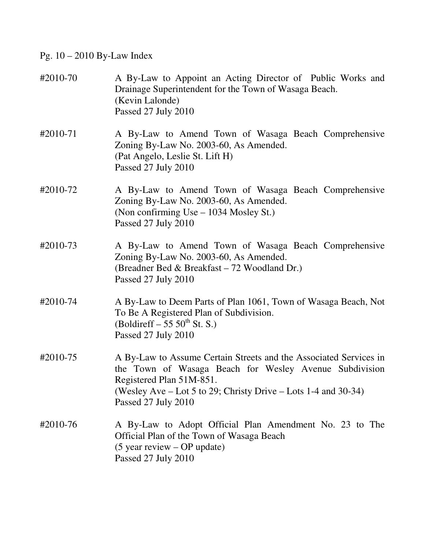Pg. 10 – 2010 By-Law Index

| #2010-70 | A By-Law to Appoint an Acting Director of Public Works and<br>Drainage Superintendent for the Town of Wasaga Beach.<br>(Kevin Lalonde)<br>Passed 27 July 2010                                                                                    |
|----------|--------------------------------------------------------------------------------------------------------------------------------------------------------------------------------------------------------------------------------------------------|
| #2010-71 | A By-Law to Amend Town of Wasaga Beach Comprehensive<br>Zoning By-Law No. 2003-60, As Amended.<br>(Pat Angelo, Leslie St. Lift H)<br>Passed 27 July 2010                                                                                         |
| #2010-72 | A By-Law to Amend Town of Wasaga Beach Comprehensive<br>Zoning By-Law No. 2003-60, As Amended.<br>(Non confirming Use – 1034 Mosley St.)<br>Passed 27 July 2010                                                                                  |
| #2010-73 | A By-Law to Amend Town of Wasaga Beach Comprehensive<br>Zoning By-Law No. 2003-60, As Amended.<br>(Breadner Bed & Breakfast – 72 Woodland Dr.)<br>Passed 27 July 2010                                                                            |
| #2010-74 | A By-Law to Deem Parts of Plan 1061, Town of Wasaga Beach, Not<br>To Be A Registered Plan of Subdivision.<br>(Boldireff $-55.50^{\text{th}}$ St. S.)<br>Passed 27 July 2010                                                                      |
| #2010-75 | A By-Law to Assume Certain Streets and the Associated Services in<br>the Town of Wasaga Beach for Wesley Avenue Subdivision<br>Registered Plan 51M-851.<br>(Wesley Ave – Lot 5 to 29; Christy Drive – Lots 1-4 and 30-34)<br>Passed 27 July 2010 |
| #2010-76 | A By-Law to Adopt Official Plan Amendment No. 23 to The<br>Official Plan of the Town of Wasaga Beach<br>$(5 \text{ year review} - \text{OP update})$<br>Passed 27 July 2010                                                                      |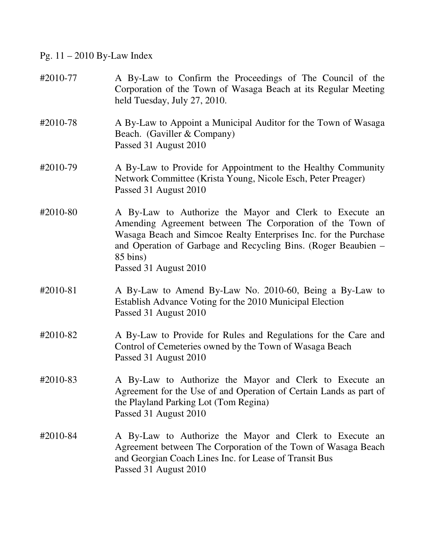Pg. 11 – 2010 By-Law Index

| #2010-77 | A By-Law to Confirm the Proceedings of The Council of the<br>Corporation of the Town of Wasaga Beach at its Regular Meeting<br>held Tuesday, July 27, 2010.                                                                                                                                     |
|----------|-------------------------------------------------------------------------------------------------------------------------------------------------------------------------------------------------------------------------------------------------------------------------------------------------|
| #2010-78 | A By-Law to Appoint a Municipal Auditor for the Town of Wasaga<br>Beach. (Gaviller & Company)<br>Passed 31 August 2010                                                                                                                                                                          |
| #2010-79 | A By-Law to Provide for Appointment to the Healthy Community<br>Network Committee (Krista Young, Nicole Esch, Peter Preager)<br>Passed 31 August 2010                                                                                                                                           |
| #2010-80 | A By-Law to Authorize the Mayor and Clerk to Execute an<br>Amending Agreement between The Corporation of the Town of<br>Wasaga Beach and Simcoe Realty Enterprises Inc. for the Purchase<br>and Operation of Garbage and Recycling Bins. (Roger Beaubien –<br>85 bins)<br>Passed 31 August 2010 |
| #2010-81 | A By-Law to Amend By-Law No. 2010-60, Being a By-Law to<br>Establish Advance Voting for the 2010 Municipal Election<br>Passed 31 August 2010                                                                                                                                                    |
| #2010-82 | A By-Law to Provide for Rules and Regulations for the Care and<br>Control of Cemeteries owned by the Town of Wasaga Beach<br>Passed 31 August 2010                                                                                                                                              |
| #2010-83 | A By-Law to Authorize the Mayor and Clerk to Execute an<br>Agreement for the Use of and Operation of Certain Lands as part of<br>the Playland Parking Lot (Tom Regina)<br>Passed 31 August 2010                                                                                                 |
| #2010-84 | A By-Law to Authorize the Mayor and Clerk to Execute an<br>Agreement between The Corporation of the Town of Wasaga Beach<br>and Georgian Coach Lines Inc. for Lease of Transit Bus<br>Passed 31 August 2010                                                                                     |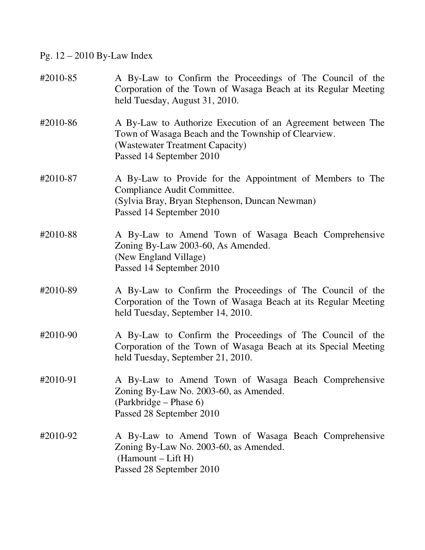Pg. 12 – 2010 By-Law Index

| #2010-85 | A By-Law to Confirm the Proceedings of The Council of the<br>Corporation of the Town of Wasaga Beach at its Regular Meeting<br>held Tuesday, August 31, 2010.                     |
|----------|-----------------------------------------------------------------------------------------------------------------------------------------------------------------------------------|
| #2010-86 | A By-Law to Authorize Execution of an Agreement between The<br>Town of Wasaga Beach and the Township of Clearview.<br>(Wastewater Treatment Capacity)<br>Passed 14 September 2010 |
| #2010-87 | A By-Law to Provide for the Appointment of Members to The<br>Compliance Audit Committee.<br>(Sylvia Bray, Bryan Stephenson, Duncan Newman)<br>Passed 14 September 2010            |
| #2010-88 | A By-Law to Amend Town of Wasaga Beach Comprehensive<br>Zoning By-Law 2003-60, As Amended.<br>(New England Village)<br>Passed 14 September 2010                                   |
| #2010-89 | A By-Law to Confirm the Proceedings of The Council of the<br>Corporation of the Town of Wasaga Beach at its Regular Meeting<br>held Tuesday, September 14, 2010.                  |
| #2010-90 | A By-Law to Confirm the Proceedings of The Council of the<br>Corporation of the Town of Wasaga Beach at its Special Meeting<br>held Tuesday, September 21, 2010.                  |
| #2010-91 | A By-Law to Amend Town of Wasaga Beach Comprehensive<br>Zoning By-Law No. 2003-60, as Amended.<br>(Parkbridge – Phase 6)<br>Passed 28 September 2010                              |
| #2010-92 | A By-Law to Amend Town of Wasaga Beach Comprehensive<br>Zoning By-Law No. 2003-60, as Amended.<br>(Hamount – Lift H)<br>Passed 28 September 2010                                  |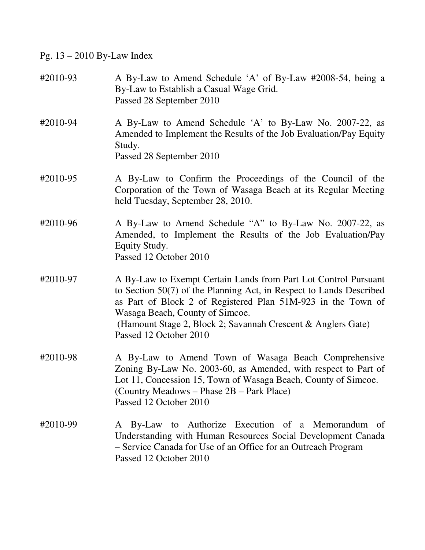Pg. 13 – 2010 By-Law Index

- #2010-93 A By-Law to Amend Schedule 'A' of By-Law #2008-54, being a By-Law to Establish a Casual Wage Grid. Passed 28 September 2010
- #2010-94 A By-Law to Amend Schedule 'A' to By-Law No. 2007-22, as Amended to Implement the Results of the Job Evaluation/Pay Equity Study. Passed 28 September 2010
- #2010-95 A By-Law to Confirm the Proceedings of the Council of the Corporation of the Town of Wasaga Beach at its Regular Meeting held Tuesday, September 28, 2010.
- #2010-96 A By-Law to Amend Schedule "A" to By-Law No. 2007-22, as Amended, to Implement the Results of the Job Evaluation/Pay Equity Study. Passed 12 October 2010
- #2010-97 A By-Law to Exempt Certain Lands from Part Lot Control Pursuant to Section 50(7) of the Planning Act, in Respect to Lands Described as Part of Block 2 of Registered Plan 51M-923 in the Town of Wasaga Beach, County of Simcoe. (Hamount Stage 2, Block 2; Savannah Crescent & Anglers Gate) Passed 12 October 2010
- #2010-98 A By-Law to Amend Town of Wasaga Beach Comprehensive Zoning By-Law No. 2003-60, as Amended, with respect to Part of Lot 11, Concession 15, Town of Wasaga Beach, County of Simcoe. (Country Meadows – Phase 2B – Park Place) Passed 12 October 2010
- #2010-99 A By-Law to Authorize Execution of a Memorandum of Understanding with Human Resources Social Development Canada – Service Canada for Use of an Office for an Outreach Program Passed 12 October 2010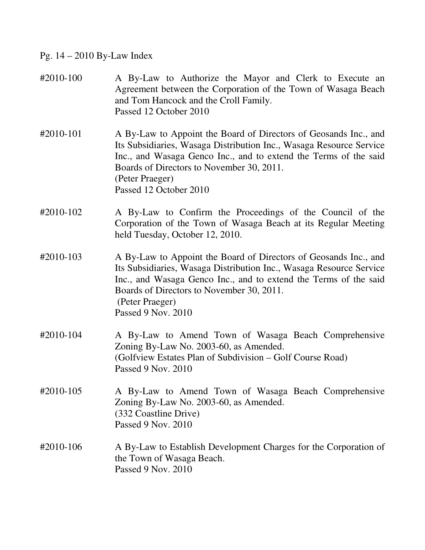# Pg. 14 – 2010 By-Law Index

| #2010-100 | A By-Law to Authorize the Mayor and Clerk to Execute an<br>Agreement between the Corporation of the Town of Wasaga Beach<br>and Tom Hancock and the Croll Family.<br>Passed 12 October 2010                                                                                                           |
|-----------|-------------------------------------------------------------------------------------------------------------------------------------------------------------------------------------------------------------------------------------------------------------------------------------------------------|
| #2010-101 | A By-Law to Appoint the Board of Directors of Geosands Inc., and<br>Its Subsidiaries, Wasaga Distribution Inc., Wasaga Resource Service<br>Inc., and Wasaga Genco Inc., and to extend the Terms of the said<br>Boards of Directors to November 30, 2011.<br>(Peter Praeger)<br>Passed 12 October 2010 |
| #2010-102 | A By-Law to Confirm the Proceedings of the Council of the<br>Corporation of the Town of Wasaga Beach at its Regular Meeting<br>held Tuesday, October 12, 2010.                                                                                                                                        |
| #2010-103 | A By-Law to Appoint the Board of Directors of Geosands Inc., and<br>Its Subsidiaries, Wasaga Distribution Inc., Wasaga Resource Service<br>Inc., and Wasaga Genco Inc., and to extend the Terms of the said<br>Boards of Directors to November 30, 2011.<br>(Peter Praeger)<br>Passed 9 Nov. 2010     |
| #2010-104 | A By-Law to Amend Town of Wasaga Beach Comprehensive<br>Zoning By-Law No. 2003-60, as Amended.<br>(Golfview Estates Plan of Subdivision – Golf Course Road)<br>Passed 9 Nov. 2010                                                                                                                     |
| #2010-105 | A By-Law to Amend Town of Wasaga Beach Comprehensive<br>Zoning By-Law No. 2003-60, as Amended.<br>(332 Coastline Drive)<br>Passed 9 Nov. 2010                                                                                                                                                         |
| #2010-106 | A By-Law to Establish Development Charges for the Corporation of<br>the Town of Wasaga Beach.<br>Passed 9 Nov. 2010                                                                                                                                                                                   |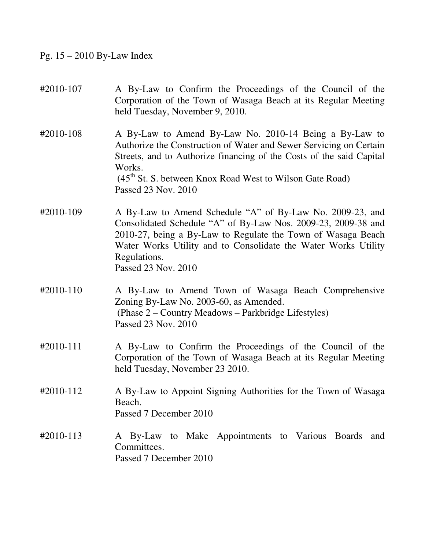Pg. 15 – 2010 By-Law Index

#2010-107 A By-Law to Confirm the Proceedings of the Council of the Corporation of the Town of Wasaga Beach at its Regular Meeting held Tuesday, November 9, 2010. #2010-108 A By-Law to Amend By-Law No. 2010-14 Being a By-Law to Authorize the Construction of Water and Sewer Servicing on Certain Streets, and to Authorize financing of the Costs of the said Capital Works.  $(45<sup>th</sup>$  St. S. between Knox Road West to Wilson Gate Road) Passed 23 Nov. 2010 #2010-109 A By-Law to Amend Schedule "A" of By-Law No. 2009-23, and Consolidated Schedule "A" of By-Law Nos. 2009-23, 2009-38 and 2010-27, being a By-Law to Regulate the Town of Wasaga Beach Water Works Utility and to Consolidate the Water Works Utility Regulations. Passed 23 Nov. 2010 #2010-110 A By-Law to Amend Town of Wasaga Beach Comprehensive Zoning By-Law No. 2003-60, as Amended. (Phase 2 – Country Meadows – Parkbridge Lifestyles) Passed 23 Nov. 2010 #2010-111 A By-Law to Confirm the Proceedings of the Council of the Corporation of the Town of Wasaga Beach at its Regular Meeting held Tuesday, November 23 2010. #2010-112 A By-Law to Appoint Signing Authorities for the Town of Wasaga Beach. Passed 7 December 2010 #2010-113 A By-Law to Make Appointments to Various Boards and Committees. Passed 7 December 2010